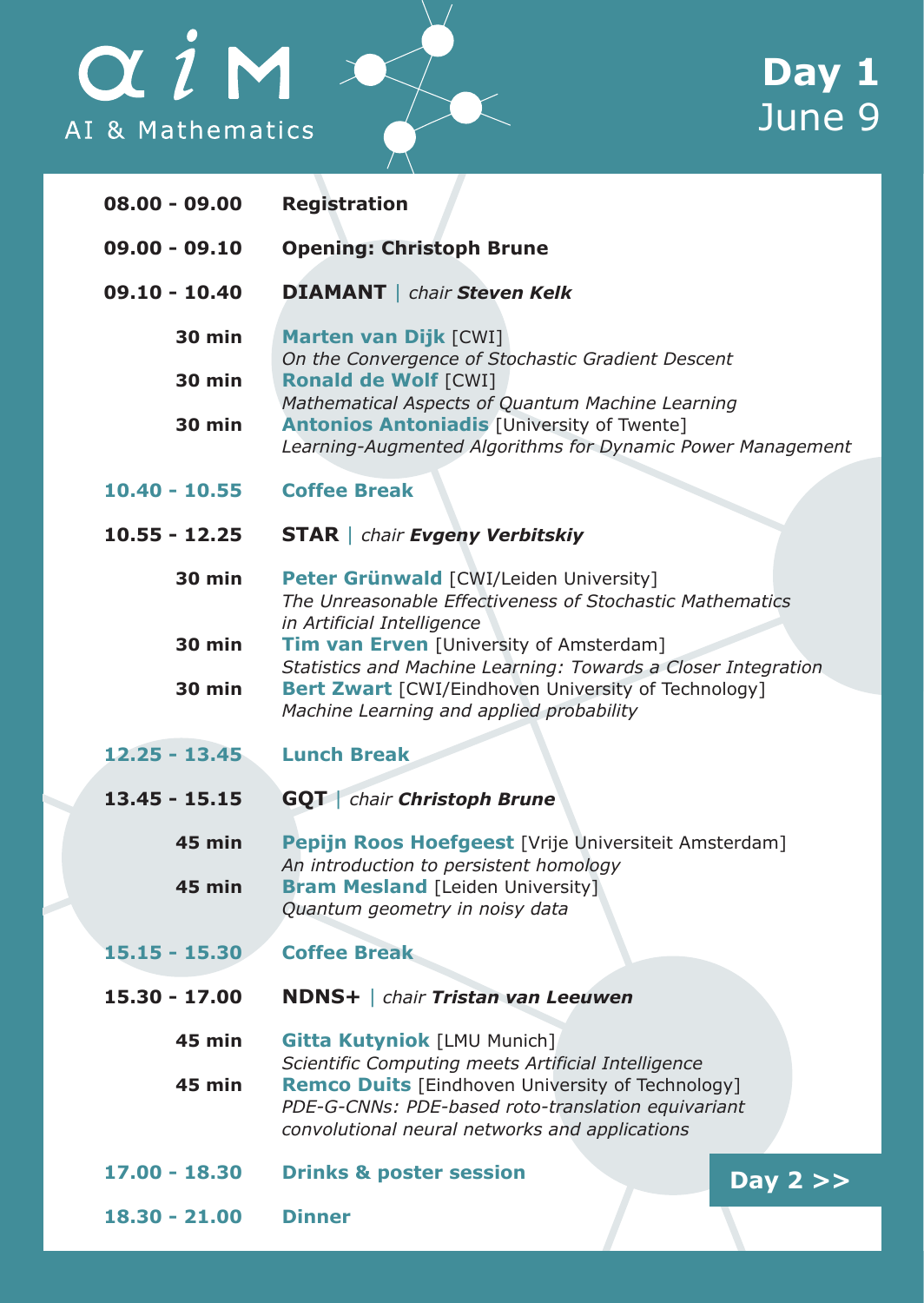## $\alpha i$ M AI & Mathematics

| $08.00 - 09.00$ | <b>Registration</b>                                                                                                                                                     |
|-----------------|-------------------------------------------------------------------------------------------------------------------------------------------------------------------------|
| $09,00 - 09,10$ | <b>Opening: Christoph Brune</b>                                                                                                                                         |
| $09.10 - 10.40$ | <b>DIAMANT</b>   chair Steven Kelk                                                                                                                                      |
| 30 min          | Marten van Dijk [CWI]<br>On the Convergence of Stochastic Gradient Descent                                                                                              |
| <b>30 min</b>   | Ronald de Wolf [CWI]<br>Mathematical Aspects of Quantum Machine Learning                                                                                                |
| <b>30 min</b>   | <b>Antonios Antoniadis [University of Twente]</b><br>Learning-Augmented Algorithms for Dynamic Power Management                                                         |
| $10.40 - 10.55$ | <b>Coffee Break</b>                                                                                                                                                     |
| $10.55 - 12.25$ | <b>STAR</b>   chair <b>Evgeny Verbitskiy</b>                                                                                                                            |
| <b>30 min</b>   | Peter Grünwald [CWI/Leiden University]<br>The Unreasonable Effectiveness of Stochastic Mathematics<br>in Artificial Intelligence                                        |
| <b>30 min</b>   | Tim van Erven [University of Amsterdam]                                                                                                                                 |
| <b>30 min</b>   | Statistics and Machine Learning: Towards a Closer Integration<br><b>Bert Zwart</b> [CWI/Eindhoven University of Technology]<br>Machine Learning and applied probability |
| $12.25 - 13.45$ | <b>Lunch Break</b>                                                                                                                                                      |
|                 |                                                                                                                                                                         |
| $13.45 - 15.15$ | <b>GQT</b> chair Christoph Brune                                                                                                                                        |
| <b>45 min</b>   | Pepijn Roos Hoefgeest [Vrije Universiteit Amsterdam]<br>An introduction to persistent homology                                                                          |
| <b>45 min</b>   | <b>Bram Mesland [Leiden University]</b><br>Quantum geometry in noisy data                                                                                               |
| 15.15 - 15.30   | <b>Coffee Break</b>                                                                                                                                                     |
| 15.30 - 17.00   | <b>NDNS+</b>   chair Tristan van Leeuwen                                                                                                                                |
| 45 min          | <b>Gitta Kutyniok [LMU Munich]</b><br>Scientific Computing meets Artificial Intelligence                                                                                |
| 45 min          | Remco Duits [Eindhoven University of Technology]<br>PDE-G-CNNs: PDE-based roto-translation equivariant<br>convolutional neural networks and applications                |
| 17.00 - 18.30   | <b>Drinks &amp; poster session</b><br>Day $2 \gt$                                                                                                                       |
| 18.30 - 21.00   | <b>Dinner</b>                                                                                                                                                           |